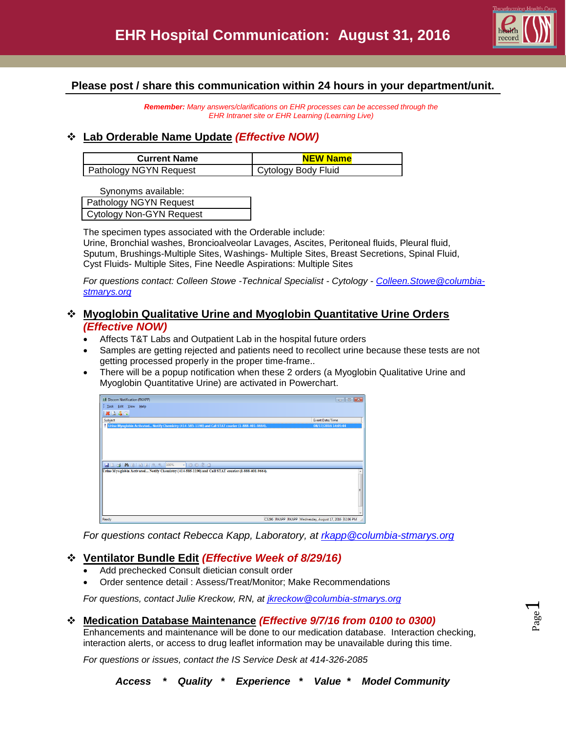

# **Please post / share this communication within 24 hours in your department/unit.**

*Remember: Many answers/clarifications on EHR processes can be accessed through the EHR Intranet site or EHR Learning (Learning Live)*

## **Lab Orderable Name Update** *(Effective NOW)*

| <b>Current Name</b>    | <b>NEW Name</b>     |
|------------------------|---------------------|
| Pathology NGYN Request | Cytology Body Fluid |

Synonyms available:

| Pathology NGYN Request          |  |
|---------------------------------|--|
| <b>Cytology Non-GYN Request</b> |  |

The specimen types associated with the Orderable include: Urine, Bronchial washes, Broncioalveolar Lavages, Ascites, Peritoneal fluids, Pleural fluid, Sputum, Brushings-Multiple Sites, Washings- Multiple Sites, Breast Secretions, Spinal Fluid, Cyst Fluids- Multiple Sites, Fine Needle Aspirations: Multiple Sites

*For questions contact: Colleen Stowe -Technical Specialist - Cytology - [Colleen.Stowe@columbia](mailto:Colleen.Stowe@columbia-stmarys.org)[stmarys.org](mailto:Colleen.Stowe@columbia-stmarys.org)*

## **Myoglobin Qualitative Urine and Myoglobin Quantitative Urine Orders** *(Effective NOW)*

- Affects T&T Labs and Outpatient Lab in the hospital future orders
- Samples are getting rejected and patients need to recollect urine because these tests are not getting processed properly in the proper time-frame..
- There will be a popup notification when these 2 orders (a Myoglobin Qualitative Urine and Myoglobin Quantitative Urine) are activated in Powerchart.



*For questions contact Rebecca Kapp, Laboratory, at [rkapp@columbia-stmarys.org](mailto:rkapp@columbia-stmarys.org)*

# **Ventilator Bundle Edit** *(Effective Week of 8/29/16)*

- Add prechecked Consult dietician consult order
- Order sentence detail : Assess/Treat/Monitor; Make Recommendations

*For questions, contact Julie Kreckow, RN, at [jkreckow@columbia-stmarys.org](mailto:jkreckow@columbia-stmarys.org)*

### **Medication Database Maintenance** *(Effective 9/7/16 from 0100 to 0300)*

Enhancements and maintenance will be done to our medication database. Interaction checking, interaction alerts, or access to drug leaflet information may be unavailable during this time.

*For questions or issues, contact the IS Service Desk at 414-326-2085*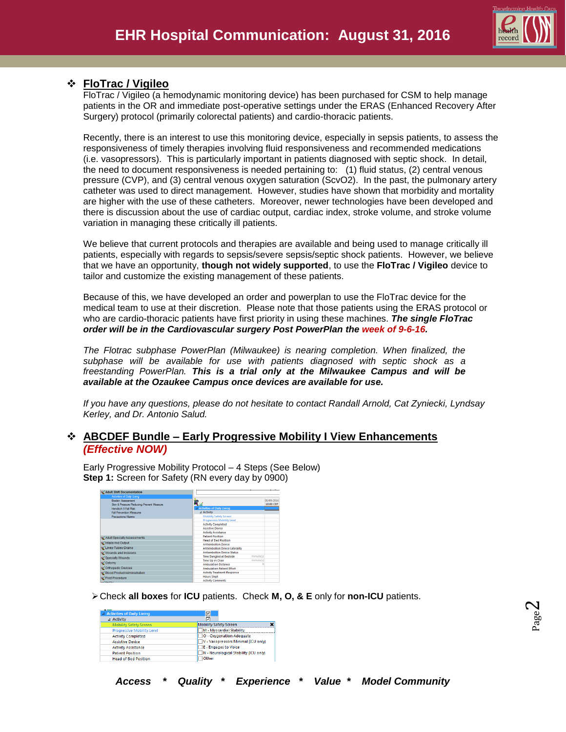

Page  $\boldsymbol{\sim}$ 

# **FloTrac / Vigileo**

FloTrac / Vigileo (a hemodynamic monitoring device) has been purchased for CSM to help manage patients in the OR and immediate post-operative settings under the ERAS (Enhanced Recovery After Surgery) protocol (primarily colorectal patients) and cardio-thoracic patients.

Recently, there is an interest to use this monitoring device, especially in sepsis patients, to assess the responsiveness of timely therapies involving fluid responsiveness and recommended medications (i.e. vasopressors). This is particularly important in patients diagnosed with septic shock. In detail, the need to document responsiveness is needed pertaining to: (1) fluid status, (2) central venous pressure (CVP), and (3) central venous oxygen saturation (ScvO2). In the past, the pulmonary artery catheter was used to direct management. However, studies have shown that morbidity and mortality are higher with the use of these catheters. Moreover, newer technologies have been developed and there is discussion about the use of cardiac output, cardiac index, stroke volume, and stroke volume variation in managing these critically ill patients.

We believe that current protocols and therapies are available and being used to manage critically ill patients, especially with regards to sepsis/severe sepsis/septic shock patients. However, we believe that we have an opportunity, **though not widely supported**, to use the **FloTrac / Vigileo** device to tailor and customize the existing management of these patients.

Because of this, we have developed an order and powerplan to use the FloTrac device for the medical team to use at their discretion. Please note that those patients using the ERAS protocol or who are cardio-thoracic patients have first priority in using these machines. *The single FloTrac order will be in the Cardiovascular surgery Post PowerPlan the week of 9-6-16.*

*The Flotrac subphase PowerPlan (Milwaukee) is nearing completion. When finalized, the subphase will be available for use with patients diagnosed with septic shock as a freestanding PowerPlan. This is a trial only at the Milwaukee Campus and will be available at the Ozaukee Campus once devices are available for use.*

*If you have any questions, please do not hesitate to contact Randall Arnold, Cat Zyniecki, Lyndsay Kerley, and Dr. Antonio Salud.*

## **ABCDEF Bundle – Early Progressive Mobility I View Enhancements** *(Effective NOW)*

Early Progressive Mobility Protocol – 4 Steps (See Below) **Step 1:** Screen for Safety (RN every day by 0900)

| Activities of Daily Living<br><b>Braden Assessment</b> |                                             | 08/09/2016 |
|--------------------------------------------------------|---------------------------------------------|------------|
| Skin & Pressure Reducing Prevent Measure               | R.                                          | 10:00 CDT  |
| Hendrich II Fall Risk                                  | 4 Activities of Daily Living                |            |
| <b>Fall Prevention Measures</b>                        | 4 Activity                                  |            |
| Precautions/Alarms                                     | <b>Mobility Safety Screen</b>               |            |
|                                                        | <b>Progressive Mobility Level</b>           |            |
|                                                        | <b>Activity Completed</b>                   |            |
|                                                        | <b>Assistive Device</b>                     |            |
|                                                        | <b>Activity Assistance</b>                  |            |
| Adult Specialty Assessments                            | <b>Patient Position</b>                     |            |
| Intake And Output                                      | <b>Head of Bed Position</b>                 |            |
|                                                        | <b>Antiembolism Device</b>                  |            |
| Lines-Tubes-Drains                                     | <b>Antiembolism Device Laterality</b>       |            |
| Wounds and Incisions                                   | <b>Antiembolism Device Status</b>           |            |
| Specialty Wounds                                       | minute(s)<br><b>Time Dangled at Bedside</b> |            |
| S Ostomy                                               | minute(s)<br><b>Time Up in Chair</b>        |            |
|                                                        | <b>Ambulation Distance</b>                  |            |
| Crthopedic Devices                                     | <b>Ambulation Patient Effort</b>            |            |
| Silood Product Administration                          | <b>Activity Treatment Response</b>          |            |
| Post Procedure                                         | <b>Hours Slept</b>                          |            |
|                                                        | <b>Activity Comments</b>                    |            |

Check **all boxes** for **ICU** patients. Check **M, O, & E** only for **non-ICU** patients.

| A Activities of Daily Living      | 罓                                     |
|-----------------------------------|---------------------------------------|
| ⊿ Activity                        | ঢ়                                    |
| <b>Mobility Safety Screen</b>     | <b>Mobility Safety Screen</b>         |
| <b>Progressive Mobility Level</b> | M - Myocardial Stability              |
| <b>Activity Completed</b>         | O - Oxygenation Adequate              |
| <b>Assistive Device</b>           | V - Vasopressors Minimal (ICU only)   |
| <b>Activity Assistance</b>        | <b>E</b> - Engages to Voice           |
| <b>Patient Position</b>           | N - Neurological Stability (ICU only) |
| <b>Head of Bed Position</b>       | <b>Other</b>                          |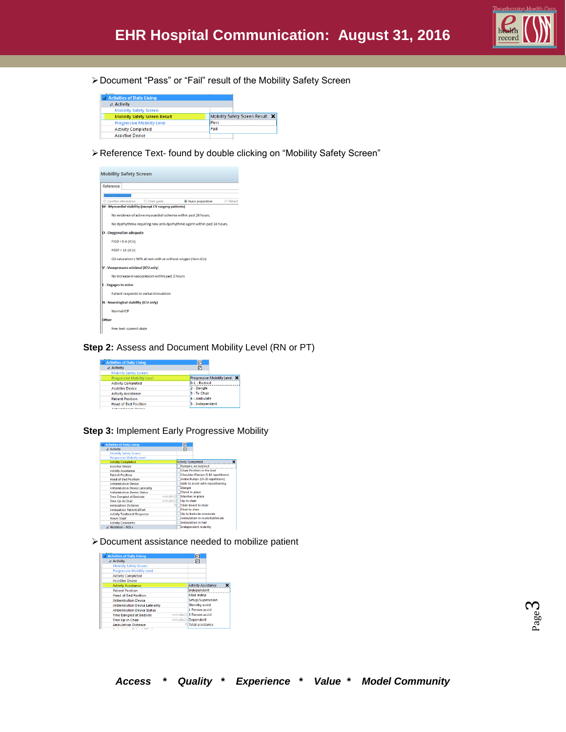

Document "Pass" or "Fail" result of the Mobility Safety Screen

| <b>4 Activities of Daily Living</b>  |                                 |
|--------------------------------------|---------------------------------|
| $\triangle$ Activity                 |                                 |
| <b>Mobility Safety Screen</b>        |                                 |
| <b>Mobility Safety Screen Result</b> | Mobility Safety Screen Result X |
| <b>Progressive Mobility Level</b>    | Pass                            |
| <b>Activity Completed</b>            | Fail                            |
| <b>Assistive Device</b>              |                                 |

Reference Text- found by double clicking on "Mobility Safety Screen"



### **Step 2: Assess and Document Mobility Level (RN or PT)**

| 4 Activities of Daily Living      | न्न                                 |
|-----------------------------------|-------------------------------------|
| ⊿ Activity                        | 冈                                   |
| <b>Mobility Safety Screen</b>     |                                     |
| <b>Progressive Mobility Level</b> | <b>Progressive Mobility Level X</b> |
| <b>Activity Completed</b>         | 0-1 - Bedrest                       |
| <b>Assistive Device</b>           | 2 - Dangle                          |
| <b>Activity Assistance</b>        | 3 - To Chair                        |
| <b>Patient Position</b>           | 4 - Ambulate                        |
| <b>Head of Bed Position</b>       | 5 - Independent                     |
| And Courts of Great President     |                                     |

#### **Step 3:** Implement Early Progressive Mobility

| 4 Activities of Daily Living          |           | ⊡                         |                                     |
|---------------------------------------|-----------|---------------------------|-------------------------------------|
| ⊿ Activity                            |           | ⊡                         |                                     |
| <b>Mobility Safety Screen</b>         |           |                           |                                     |
| <b>Progressive Mobility Level</b>     |           |                           |                                     |
| <b>Activity Completed</b>             |           | <b>Activity Completed</b> | ×                                   |
| <b>Assistive Device</b>               |           |                           | <b>Remains on hed rest</b>          |
| <b>Activity Assistance</b>            |           |                           | <b>Chair Position in the bed</b>    |
| <b>Patient Position</b>               |           |                           | Shoulder Flexion (5-10 repetitions) |
| <b>Head of Bed Position</b>           |           |                           | Ankle Pumps (15-20 repetitions)     |
| <b>Antiembolism Device</b>            |           |                           | Able to assist with repositioning   |
| <b>Antiembolism Device Laterality</b> |           | Dangle                    |                                     |
| <b>Antiembolism Device Status</b>     |           | <b>Stand in place</b>     |                                     |
| <b>Time Dangled at Bedside</b>        | minute(s) |                           | Marches in place                    |
| <b>Time Up in Chair</b>               | minute(s) | Up to chair               |                                     |
| <b>Ambulation Distance</b>            |           |                           | Slide board to chair                |
| <b>Ambulation Patient Effort</b>      |           | Pivot to chair            |                                     |
| <b>Activity Treatment Response</b>    |           |                           | Up to bedside commode               |
| <b>Hours Slept</b>                    |           |                           | Ambulation in room/bathroom         |
| <b>Activity Comments</b>              |           |                           | <b>Ambulation in hall</b>           |
| <b>4 Nutrition - ADLs</b>             |           |                           | <b>Independent mobility</b>         |

Document assistance needed to mobilize patient

| ⊿ Activity                            |  | ☑<br>罓                     |  |
|---------------------------------------|--|----------------------------|--|
| <b>Mobility Safety Screen</b>         |  |                            |  |
| <b>Progressive Mobility Level</b>     |  |                            |  |
| <b>Activity Completed</b>             |  |                            |  |
| <b>Assistive Device</b>               |  |                            |  |
| <b>Activity Assistance</b>            |  | <b>Activity Assistance</b> |  |
| <b>Patient Position</b>               |  | Independent                |  |
| <b>Head of Bed Position</b>           |  | Mod indep                  |  |
| <b>Antiembolism Device</b>            |  | Setup/Supervision          |  |
| <b>Antiembolism Device Laterality</b> |  | <b>Standby assist</b>      |  |
| <b>Antiembolism Device Status</b>     |  | 1 Person assist            |  |
| <b>Time Dangled at Bedside</b>        |  | minute(s) 2 Person assist  |  |
| <b>Time Up in Chair</b>               |  | minute(s) Dependent        |  |
| <b>Ambulation Distance</b>            |  | ftlTotal assistance        |  |